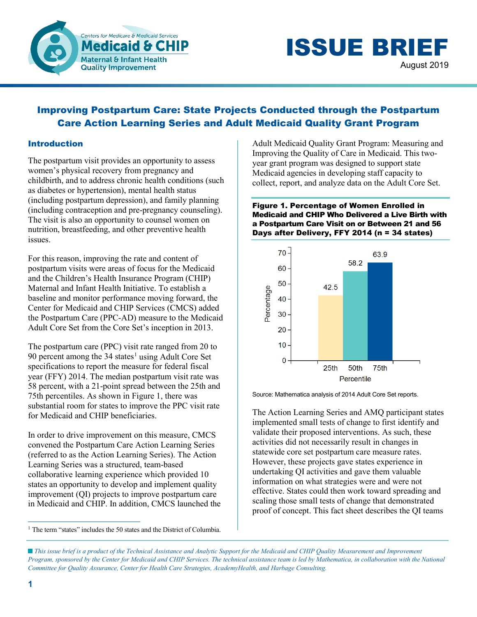

ISSUE BRIEF August 2019

# Improving Postpartum Care: State Projects Conducted through the Postpartum Care Action Learning Series and Adult Medicaid Quality Grant Program

## Introduction

The postpartum visit provides an opportunity to assess women's physical recovery from pregnancy and childbirth, and to address chronic health conditions (such as diabetes or hypertension), mental health status (including postpartum depression), and family planning (including contraception and pre-pregnancy counseling). The visit is also an opportunity to counsel women on nutrition, breastfeeding, and other preventive health issues.

For this reason, improving the rate and content of postpartum visits were areas of focus for the Medicaid and the Children's Health Insurance Program (CHIP) Maternal and Infant Health Initiative. To establish a baseline and monitor performance moving forward, the Center for Medicaid and CHIP Services (CMCS) added the Postpartum Care (PPC-AD) measure to the Medicaid Adult Core Set from the Core Set's inception in 2013.

The postpartum care (PPC) visit rate ranged from 20 to 90 percent among the  $34$  states<sup>1</sup> using Adult Core Set specifications to report the measure for federal fiscal year (FFY) 2014. The median postpartum visit rate was 58 percent, with a 21-point spread between the 25th and 75th percentiles. As shown in Figure 1, there was substantial room for states to improve the PPC visit rate for Medicaid and CHIP beneficiaries.

In order to drive improvement on this measure, CMCS convened the Postpartum Care Action Learning Series (referred to as the Action Learning Series). The Action Learning Series was a structured, team-based collaborative learning experience which provided 10 states an opportunity to develop and implement quality improvement (QI) projects to improve postpartum care in Medicaid and CHIP. In addition, CMCS launched the

<span id="page-0-0"></span> $\overline{a}$ <sup>1</sup> The term "states" includes the 50 states and the District of Columbia. Adult Medicaid Quality Grant Program: Measuring and Improving the Quality of Care in Medicaid. This twoyear grant program was designed to support state Medicaid agencies in developing staff capacity to collect, report, and analyze data on the Adult Core Set.

Figure 1. Percentage of Women Enrolled in Medicaid and CHIP Who Delivered a Live Birth with a Postpartum Care Visit on or Between 21 and 56 Days after Delivery, FFY 2014 (n = 34 states)



Source: Mathematica analysis of 2014 Adult Core Set reports.

The Action Learning Series and AMQ participant states implemented small tests of change to first identify and validate their proposed interventions. As such, these activities did not necessarily result in changes in statewide core set postpartum care measure rates. However, these projects gave states experience in undertaking QI activities and gave them valuable information on what strategies were and were not effective. States could then work toward spreading and scaling those small tests of change that demonstrated proof of concept. This fact sheet describes the QI teams

*This issue brief is a product of the Technical Assistance and Analytic Support for the Medicaid and CHIP Quality Measurement and Improvement Program, sponsored by the Center for Medicaid and CHIP Services. The technical assistance team is led by Mathematica, in collaboration with the National Committee for Quality Assurance, Center for Health Care Strategies, AcademyHealth, and Harbage Consulting.*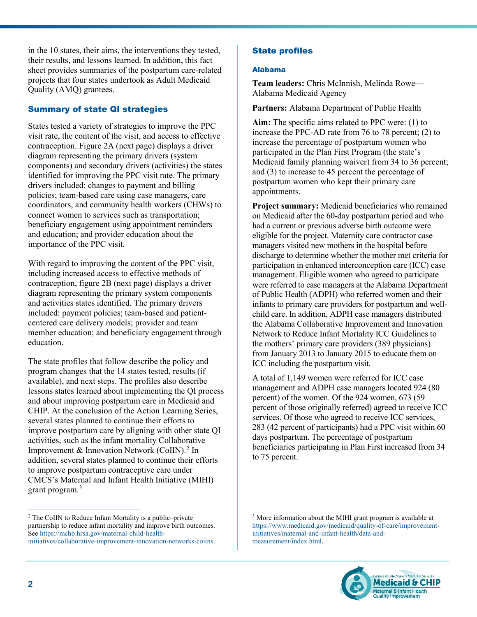in the 10 states, their aims, the interventions they tested, their results, and lessons learned. In addition, this fact sheet provides summaries of the postpartum care-related projects that four states undertook as Adult Medicaid Quality (AMQ) grantees.

# Summary of state QI strategies

States tested a variety of strategies to improve the PPC visit rate, the content of the visit, and access to effective contraception. Figure 2A (next page) displays a driver diagram representing the primary drivers (system components) and secondary drivers (activities) the states identified for improving the PPC visit rate. The primary drivers included: changes to payment and billing policies; team-based care using case managers, care coordinators, and community health workers (CHWs) to connect women to services such as transportation; beneficiary engagement using appointment reminders and education; and provider education about the importance of the PPC visit.

With regard to improving the content of the PPC visit, including increased access to effective methods of contraception, figure 2B (next page) displays a driver diagram representing the primary system components and activities states identified. The primary drivers included: payment policies; team-based and patientcentered care delivery models; provider and team member education; and beneficiary engagement through education.

The state profiles that follow describe the policy and program changes that the 14 states tested, results (if available), and next steps. The profiles also describe lessons states learned about implementing the QI process and about improving postpartum care in Medicaid and CHIP. At the conclusion of the Action Learning Series, several states planned to continue their efforts to improve postpartum care by aligning with other state QI activities, such as the infant mortality Collaborative Improvement & Innovation Network (CoIIN).<sup>[2](#page-1-0)</sup> In addition, several states planned to continue their efforts to improve postpartum contraceptive care under CMCS's Maternal and Infant Health Initiative (MIHI) grant program.<sup>[3](#page-1-0)</sup>

# State profiles

#### Alabama

**Team leaders:** Chris McInnish, Melinda Rowe— Alabama Medicaid Agency

**Partners:** Alabama Department of Public Health

**Aim:** The specific aims related to PPC were: (1) to increase the PPC-AD rate from 76 to 78 percent; (2) to increase the percentage of postpartum women who participated in the Plan First Program (the state's Medicaid family planning waiver) from 34 to 36 percent; and (3) to increase to 45 percent the percentage of postpartum women who kept their primary care appointments.

**Project summary:** Medicaid beneficiaries who remained on Medicaid after the 60-day postpartum period and who had a current or previous adverse birth outcome were eligible for the project. Maternity care contractor case managers visited new mothers in the hospital before discharge to determine whether the mother met criteria for participation in enhanced interconception care (ICC) case management. Eligible women who agreed to participate were referred to case managers at the Alabama Department of Public Health (ADPH) who referred women and their infants to primary care providers for postpartum and wellchild care. In addition, ADPH case managers distributed the Alabama Collaborative Improvement and Innovation Network to Reduce Infant Mortality ICC Guidelines to the mothers' primary care providers (389 physicians) from January 2013 to January 2015 to educate them on ICC including the postpartum visit.

A total of 1,149 women were referred for ICC case management and ADPH case managers located 924 (80 percent) of the women. Of the 924 women, 673 (59 percent of those originally referred) agreed to receive ICC services. Of those who agreed to receive ICC services, 283 (42 percent of participants) had a PPC visit within 60 days postpartum. The percentage of postpartum beneficiaries participating in Plan First increased from 34 to 75 percent.

<sup>&</sup>lt;sup>3</sup> More information about the MIHI grant program is available at [https://www.medicaid.gov/medicaid/quality-of-care/improvement](https://www.medicaid.gov/medicaid/quality-of-care/improvement-initiatives/maternal-and-infant-health/data-and-measurement/index.html)[initiatives/maternal-and-infant-health/data-and](https://www.medicaid.gov/medicaid/quality-of-care/improvement-initiatives/maternal-and-infant-health/data-and-measurement/index.html)[measurement/index.html.](https://www.medicaid.gov/medicaid/quality-of-care/improvement-initiatives/maternal-and-infant-health/data-and-measurement/index.html)



 $\overline{a}$ 

<span id="page-1-0"></span><sup>&</sup>lt;sup>2</sup> The CoIIN to Reduce Infant Mortality is a public–private partnership to reduce infant mortality and improve birth outcomes. See [https://mchb.hrsa.gov/maternal-child-health](https://mchb.hrsa.gov/maternal-child-health-initiatives/collaborative-improvement-innovation-networks-coiins)[initiatives/collaborative-improvement-innovation-networks-coiins.](https://mchb.hrsa.gov/maternal-child-health-initiatives/collaborative-improvement-innovation-networks-coiins)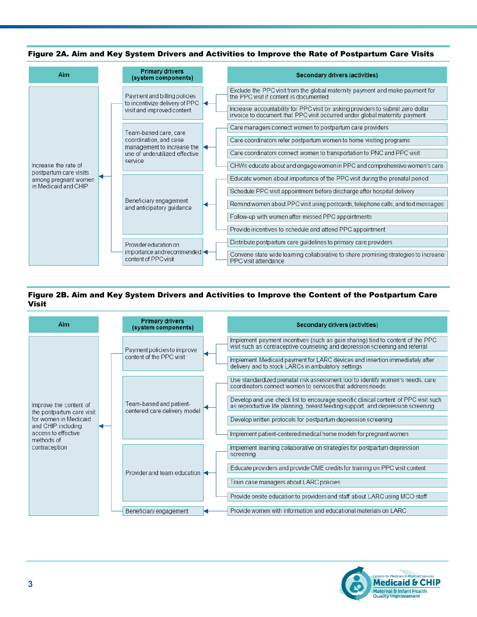

#### Figure 2A. Aim and Key System Drivers and Activities to Improve the Rate of Postpartum Care Visits

#### Figure 2B. Aim and Key System Drivers and Activities to Improve the Content of the Postpartum Care Visit



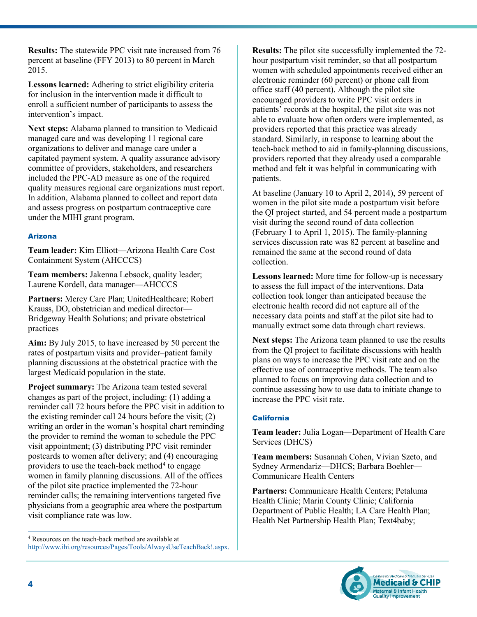**Results:** The statewide PPC visit rate increased from 76 percent at baseline (FFY 2013) to 80 percent in March 2015.

**Lessons learned:** Adhering to strict eligibility criteria for inclusion in the intervention made it difficult to enroll a sufficient number of participants to assess the intervention's impact.

**Next steps:** Alabama planned to transition to Medicaid managed care and was developing 11 regional care organizations to deliver and manage care under a capitated payment system. A quality assurance advisory committee of providers, stakeholders, and researchers included the PPC-AD measure as one of the required quality measures regional care organizations must report. In addition, Alabama planned to collect and report data and assess progress on postpartum contraceptive care under the MIHI grant program.

## Arizona

**Team leader:** Kim Elliott—Arizona Health Care Cost Containment System (AHCCCS)

**Team members:** Jakenna Lebsock, quality leader; Laurene Kordell, data manager—AHCCCS

Partners: Mercy Care Plan; UnitedHealthcare; Robert Krauss, DO, obstetrician and medical director— Bridgeway Health Solutions; and private obstetrical practices

**Aim:** By July 2015, to have increased by 50 percent the rates of postpartum visits and provider–patient family planning discussions at the obstetrical practice with the largest Medicaid population in the state.

**Project summary:** The Arizona team tested several changes as part of the project, including: (1) adding a reminder call 72 hours before the PPC visit in addition to the existing reminder call 24 hours before the visit; (2) writing an order in the woman's hospital chart reminding the provider to remind the woman to schedule the PPC visit appointment; (3) distributing PPC visit reminder postcards to women after delivery; and (4) encouraging providers to use the teach-back method<sup>[4](#page-3-0)</sup> to engage women in family planning discussions. All of the offices of the pilot site practice implemented the 72-hour reminder calls; the remaining interventions targeted five physicians from a geographic area where the postpartum visit compliance rate was low.

**Results:** The pilot site successfully implemented the 72 hour postpartum visit reminder, so that all postpartum women with scheduled appointments received either an electronic reminder (60 percent) or phone call from office staff (40 percent). Although the pilot site encouraged providers to write PPC visit orders in patients' records at the hospital, the pilot site was not able to evaluate how often orders were implemented, as providers reported that this practice was already standard. Similarly, in response to learning about the teach-back method to aid in family-planning discussions, providers reported that they already used a comparable method and felt it was helpful in communicating with patients.

At baseline (January 10 to April 2, 2014), 59 percent of women in the pilot site made a postpartum visit before the QI project started, and 54 percent made a postpartum visit during the second round of data collection (February 1 to April 1, 2015). The family-planning services discussion rate was 82 percent at baseline and remained the same at the second round of data collection.

**Lessons learned:** More time for follow-up is necessary to assess the full impact of the interventions. Data collection took longer than anticipated because the electronic health record did not capture all of the necessary data points and staff at the pilot site had to manually extract some data through chart reviews.

**Next steps:** The Arizona team planned to use the results from the QI project to facilitate discussions with health plans on ways to increase the PPC visit rate and on the effective use of contraceptive methods. The team also planned to focus on improving data collection and to continue assessing how to use data to initiate change to increase the PPC visit rate.

## **California**

**Team leader:** Julia Logan—Department of Health Care Services (DHCS)

**Team members:** Susannah Cohen, Vivian Szeto, and Sydney Armendariz—DHCS; Barbara Boehler— Communicare Health Centers

**Partners:** Communicare Health Centers; Petaluma Health Clinic; Marin County Clinic; California Department of Public Health; LA Care Health Plan; Health Net Partnership Health Plan; Text4baby;



<span id="page-3-0"></span> $\overline{a}$ <sup>4</sup> Resources on the teach-back method are available at [http://www.ihi.org/resources/Pages/Tools/AlwaysUseTeachBack!.aspx.](http://www.ihi.org/resources/Pages/Tools/AlwaysUseTeachBack!.aspx)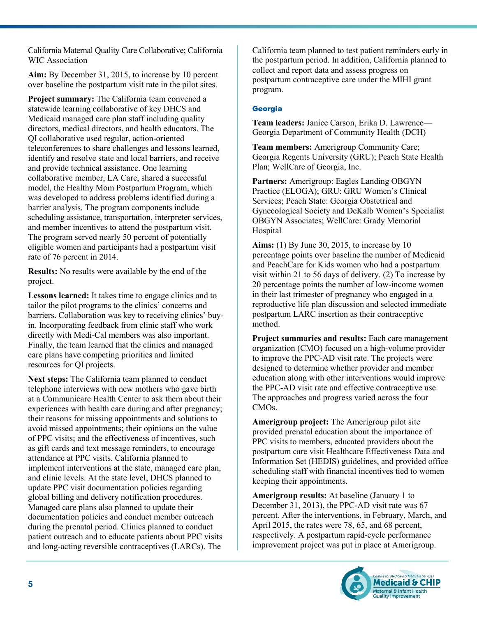California Maternal Quality Care Collaborative; California WIC Association

**Aim:** By December 31, 2015, to increase by 10 percent over baseline the postpartum visit rate in the pilot sites.

**Project summary:** The California team convened a statewide learning collaborative of key DHCS and Medicaid managed care plan staff including quality directors, medical directors, and health educators. The QI collaborative used regular, action-oriented teleconferences to share challenges and lessons learned, identify and resolve state and local barriers, and receive and provide technical assistance. One learning collaborative member, LA Care, shared a successful model, the Healthy Mom Postpartum Program, which was developed to address problems identified during a barrier analysis. The program components include scheduling assistance, transportation, interpreter services, and member incentives to attend the postpartum visit. The program served nearly 50 percent of potentially eligible women and participants had a postpartum visit rate of 76 percent in 2014.

**Results:** No results were available by the end of the project.

**Lessons learned:** It takes time to engage clinics and to tailor the pilot programs to the clinics' concerns and barriers. Collaboration was key to receiving clinics' buyin. Incorporating feedback from clinic staff who work directly with Medi-Cal members was also important. Finally, the team learned that the clinics and managed care plans have competing priorities and limited resources for QI projects.

**Next steps:** The California team planned to conduct telephone interviews with new mothers who gave birth at a Communicare Health Center to ask them about their experiences with health care during and after pregnancy; their reasons for missing appointments and solutions to avoid missed appointments; their opinions on the value of PPC visits; and the effectiveness of incentives, such as gift cards and text message reminders, to encourage attendance at PPC visits. California planned to implement interventions at the state, managed care plan, and clinic levels. At the state level, DHCS planned to update PPC visit documentation policies regarding global billing and delivery notification procedures. Managed care plans also planned to update their documentation policies and conduct member outreach during the prenatal period. Clinics planned to conduct patient outreach and to educate patients about PPC visits and long-acting reversible contraceptives (LARCs). The

California team planned to test patient reminders early in the postpartum period. In addition, California planned to collect and report data and assess progress on postpartum contraceptive care under the MIHI grant program.

## **Georgia**

**Team leaders:** Janice Carson, Erika D. Lawrence— Georgia Department of Community Health (DCH)

**Team members:** Amerigroup Community Care; Georgia Regents University (GRU); Peach State Health Plan; WellCare of Georgia, Inc.

**Partners:** Amerigroup: Eagles Landing OBGYN Practice (ELOGA); GRU: GRU Women's Clinical Services; Peach State: Georgia Obstetrical and Gynecological Society and DeKalb Women's Specialist OBGYN Associates; WellCare: Grady Memorial Hospital

**Aims:** (1) By June 30, 2015, to increase by 10 percentage points over baseline the number of Medicaid and PeachCare for Kids women who had a postpartum visit within 21 to 56 days of delivery. (2) To increase by 20 percentage points the number of low-income women in their last trimester of pregnancy who engaged in a reproductive life plan discussion and selected immediate postpartum LARC insertion as their contraceptive method.

**Project summaries and results:** Each care management organization (CMO) focused on a high-volume provider to improve the PPC-AD visit rate. The projects were designed to determine whether provider and member education along with other interventions would improve the PPC-AD visit rate and effective contraceptive use. The approaches and progress varied across the four CMOs.

**Amerigroup project:** The Amerigroup pilot site provided prenatal education about the importance of PPC visits to members, educated providers about the postpartum care visit Healthcare Effectiveness Data and Information Set (HEDIS) guidelines, and provided office scheduling staff with financial incentives tied to women keeping their appointments.

**Amerigroup results:** At baseline (January 1 to December 31, 2013), the PPC-AD visit rate was 67 percent. After the interventions, in February, March, and April 2015, the rates were 78, 65, and 68 percent, respectively. A postpartum rapid-cycle performance improvement project was put in place at Amerigroup.

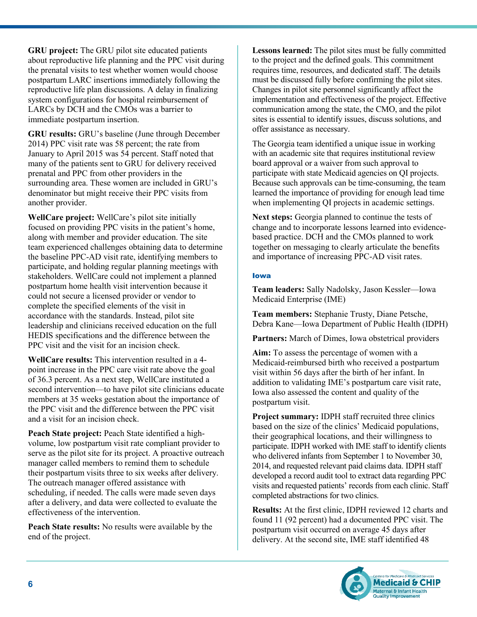**GRU project:** The GRU pilot site educated patients about reproductive life planning and the PPC visit during the prenatal visits to test whether women would choose postpartum LARC insertions immediately following the reproductive life plan discussions. A delay in finalizing system configurations for hospital reimbursement of LARCs by DCH and the CMOs was a barrier to immediate postpartum insertion.

**GRU results:** GRU's baseline (June through December 2014) PPC visit rate was 58 percent; the rate from January to April 2015 was 54 percent. Staff noted that many of the patients sent to GRU for delivery received prenatal and PPC from other providers in the surrounding area. These women are included in GRU's denominator but might receive their PPC visits from another provider.

**WellCare project:** WellCare's pilot site initially focused on providing PPC visits in the patient's home, along with member and provider education. The site team experienced challenges obtaining data to determine the baseline PPC-AD visit rate, identifying members to participate, and holding regular planning meetings with stakeholders. WellCare could not implement a planned postpartum home health visit intervention because it could not secure a licensed provider or vendor to complete the specified elements of the visit in accordance with the standards. Instead, pilot site leadership and clinicians received education on the full HEDIS specifications and the difference between the PPC visit and the visit for an incision check.

**WellCare results:** This intervention resulted in a 4 point increase in the PPC care visit rate above the goal of 36.3 percent. As a next step, WellCare instituted a second intervention—to have pilot site clinicians educate members at 35 weeks gestation about the importance of the PPC visit and the difference between the PPC visit and a visit for an incision check.

**Peach State project:** Peach State identified a highvolume, low postpartum visit rate compliant provider to serve as the pilot site for its project. A proactive outreach manager called members to remind them to schedule their postpartum visits three to six weeks after delivery. The outreach manager offered assistance with scheduling, if needed. The calls were made seven days after a delivery, and data were collected to evaluate the effectiveness of the intervention.

**Peach State results:** No results were available by the end of the project.

**Lessons learned:** The pilot sites must be fully committed to the project and the defined goals. This commitment requires time, resources, and dedicated staff. The details must be discussed fully before confirming the pilot sites. Changes in pilot site personnel significantly affect the implementation and effectiveness of the project. Effective communication among the state, the CMO, and the pilot sites is essential to identify issues, discuss solutions, and offer assistance as necessary.

The Georgia team identified a unique issue in working with an academic site that requires institutional review board approval or a waiver from such approval to participate with state Medicaid agencies on QI projects. Because such approvals can be time-consuming, the team learned the importance of providing for enough lead time when implementing OI projects in academic settings.

**Next steps:** Georgia planned to continue the tests of change and to incorporate lessons learned into evidencebased practice. DCH and the CMOs planned to work together on messaging to clearly articulate the benefits and importance of increasing PPC-AD visit rates.

#### Iowa

**Team leaders:** Sally Nadolsky, Jason Kessler—Iowa Medicaid Enterprise (IME)

**Team members:** Stephanie Trusty, Diane Petsche, Debra Kane—Iowa Department of Public Health (IDPH)

**Partners:** March of Dimes, Iowa obstetrical providers

**Aim:** To assess the percentage of women with a Medicaid-reimbursed birth who received a postpartum visit within 56 days after the birth of her infant. In addition to validating IME's postpartum care visit rate, Iowa also assessed the content and quality of the postpartum visit.

**Project summary:** IDPH staff recruited three clinics based on the size of the clinics' Medicaid populations, their geographical locations, and their willingness to participate. IDPH worked with IME staff to identify clients who delivered infants from September 1 to November 30, 2014, and requested relevant paid claims data. IDPH staff developed a record audit tool to extract data regarding PPC visits and requested patients' records from each clinic. Staff completed abstractions for two clinics.

**Results:** At the first clinic, IDPH reviewed 12 charts and found 11 (92 percent) had a documented PPC visit. The postpartum visit occurred on average 45 days after delivery. At the second site, IME staff identified 48

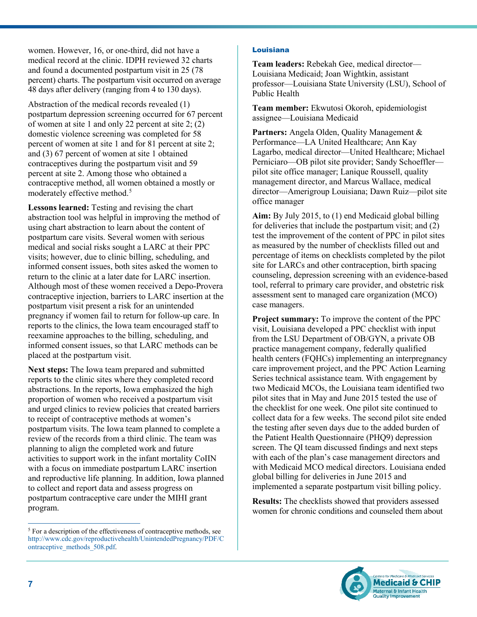women. However, 16, or one-third, did not have a medical record at the clinic. IDPH reviewed 32 charts and found a documented postpartum visit in 25 (78 percent) charts. The postpartum visit occurred on average 48 days after delivery (ranging from 4 to 130 days).

Abstraction of the medical records revealed (1) postpartum depression screening occurred for 67 percent of women at site 1 and only 22 percent at site 2; (2) domestic violence screening was completed for 58 percent of women at site 1 and for 81 percent at site 2; and (3) 67 percent of women at site 1 obtained contraceptives during the postpartum visit and 59 percent at site 2. Among those who obtained a contraceptive method, all women obtained a mostly or moderately effective method.<sup>[5](#page-6-0)</sup>

**Lessons learned:** Testing and revising the chart abstraction tool was helpful in improving the method of using chart abstraction to learn about the content of postpartum care visits. Several women with serious medical and social risks sought a LARC at their PPC visits; however, due to clinic billing, scheduling, and informed consent issues, both sites asked the women to return to the clinic at a later date for LARC insertion. Although most of these women received a Depo-Provera contraceptive injection, barriers to LARC insertion at the postpartum visit present a risk for an unintended pregnancy if women fail to return for follow-up care. In reports to the clinics, the Iowa team encouraged staff to reexamine approaches to the billing, scheduling, and informed consent issues, so that LARC methods can be placed at the postpartum visit.

**Next steps:** The Iowa team prepared and submitted reports to the clinic sites where they completed record abstractions. In the reports, Iowa emphasized the high proportion of women who received a postpartum visit and urged clinics to review policies that created barriers to receipt of contraceptive methods at women's postpartum visits. The Iowa team planned to complete a review of the records from a third clinic. The team was planning to align the completed work and future activities to support work in the infant mortality CoIIN with a focus on immediate postpartum LARC insertion and reproductive life planning. In addition, Iowa planned to collect and report data and assess progress on postpartum contraceptive care under the MIHI grant program.

## Louisiana

**Team leaders:** Rebekah Gee, medical director— Louisiana Medicaid; Joan Wightkin, assistant professor—Louisiana State University (LSU), School of Public Health

**Team member:** Ekwutosi Okoroh, epidemiologist assignee—Louisiana Medicaid

Partners: Angela Olden, Quality Management & Performance—LA United Healthcare; Ann Kay Lagarbo, medical director—United Healthcare; Michael Perniciaro—OB pilot site provider; Sandy Schoeffler pilot site office manager; Lanique Roussell, quality management director, and Marcus Wallace, medical director—Amerigroup Louisiana; Dawn Ruiz—pilot site office manager

**Aim:** By July 2015, to (1) end Medicaid global billing for deliveries that include the postpartum visit; and (2) test the improvement of the content of PPC in pilot sites as measured by the number of checklists filled out and percentage of items on checklists completed by the pilot site for LARCs and other contraception, birth spacing counseling, depression screening with an evidence-based tool, referral to primary care provider, and obstetric risk assessment sent to managed care organization (MCO) case managers.

**Project summary:** To improve the content of the PPC visit, Louisiana developed a PPC checklist with input from the LSU Department of OB/GYN, a private OB practice management company, federally qualified health centers (FQHCs) implementing an interpregnancy care improvement project, and the PPC Action Learning Series technical assistance team. With engagement by two Medicaid MCOs, the Louisiana team identified two pilot sites that in May and June 2015 tested the use of the checklist for one week. One pilot site continued to collect data for a few weeks. The second pilot site ended the testing after seven days due to the added burden of the Patient Health Questionnaire (PHQ9) depression screen. The QI team discussed findings and next steps with each of the plan's case management directors and with Medicaid MCO medical directors. Louisiana ended global billing for deliveries in June 2015 and implemented a separate postpartum visit billing policy.

**Results:** The checklists showed that providers assessed women for chronic conditions and counseled them about



 $\overline{a}$ 

<span id="page-6-0"></span> $5$  For a description of the effectiveness of contraceptive methods, see [http://www.cdc.gov/reproductivehealth/UnintendedPregnancy/PDF/C](http://www.cdc.gov/reproductivehealth/UnintendedPregnancy/PDF/Contraceptive_methods_508.pdf) [ontraceptive\\_methods\\_508.pdf.](http://www.cdc.gov/reproductivehealth/UnintendedPregnancy/PDF/Contraceptive_methods_508.pdf)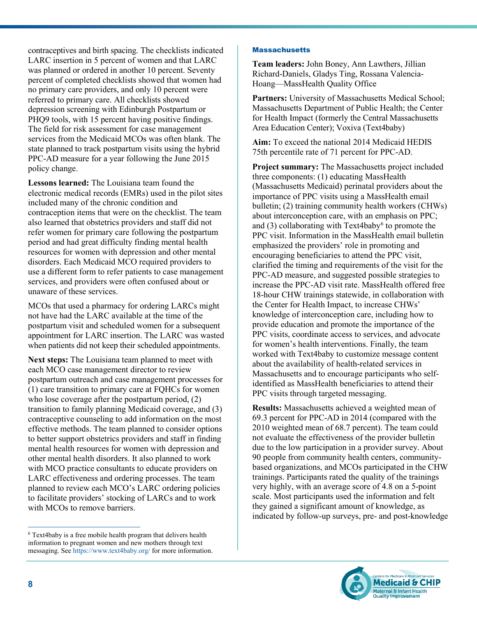contraceptives and birth spacing. The checklists indicated LARC insertion in 5 percent of women and that LARC was planned or ordered in another 10 percent. Seventy percent of completed checklists showed that women had no primary care providers, and only 10 percent were referred to primary care. All checklists showed depression screening with Edinburgh Postpartum or PHQ9 tools, with 15 percent having positive findings. The field for risk assessment for case management services from the Medicaid MCOs was often blank. The state planned to track postpartum visits using the hybrid PPC-AD measure for a year following the June 2015 policy change.

**Lessons learned:** The Louisiana team found the electronic medical records (EMRs) used in the pilot sites included many of the chronic condition and contraception items that were on the checklist. The team also learned that obstetrics providers and staff did not refer women for primary care following the postpartum period and had great difficulty finding mental health resources for women with depression and other mental disorders. Each Medicaid MCO required providers to use a different form to refer patients to case management services, and providers were often confused about or unaware of these services.

MCOs that used a pharmacy for ordering LARCs might not have had the LARC available at the time of the postpartum visit and scheduled women for a subsequent appointment for LARC insertion. The LARC was wasted when patients did not keep their scheduled appointments.

**Next steps:** The Louisiana team planned to meet with each MCO case management director to review postpartum outreach and case management processes for (1) care transition to primary care at FQHCs for women who lose coverage after the postpartum period,  $(2)$ transition to family planning Medicaid coverage, and (3) contraceptive counseling to add information on the most effective methods. The team planned to consider options to better support obstetrics providers and staff in finding mental health resources for women with depression and other mental health disorders. It also planned to work with MCO practice consultants to educate providers on LARC effectiveness and ordering processes. The team planned to review each MCO's LARC ordering policies to facilitate providers' stocking of LARCs and to work with MCOs to remove barriers.

#### **Massachusetts**

**Team leaders:** John Boney, Ann Lawthers, Jillian Richard-Daniels, Gladys Ting, Rossana Valencia-Hoang—MassHealth Quality Office

Partners: University of Massachusetts Medical School; Massachusetts Department of Public Health; the Center for Health Impact (formerly the Central Massachusetts Area Education Center); Voxiva (Text4baby)

**Aim:** To exceed the national 2014 Medicaid HEDIS 75th percentile rate of 71 percent for PPC-AD.

**Project summary:** The Massachusetts project included three components: (1) educating MassHealth (Massachusetts Medicaid) perinatal providers about the importance of PPC visits using a MassHealth email bulletin; (2) training community health workers (CHWs) about interconception care, with an emphasis on PPC; and (3) collaborating with Text4baby $6$  to promote the PPC visit. Information in the MassHealth email bulletin emphasized the providers' role in promoting and encouraging beneficiaries to attend the PPC visit, clarified the timing and requirements of the visit for the PPC-AD measure, and suggested possible strategies to increase the PPC-AD visit rate. MassHealth offered free 18-hour CHW trainings statewide, in collaboration with the Center for Health Impact, to increase CHWs' knowledge of interconception care, including how to provide education and promote the importance of the PPC visits, coordinate access to services, and advocate for women's health interventions. Finally, the team worked with Text4baby to customize message content about the availability of health-related services in Massachusetts and to encourage participants who selfidentified as MassHealth beneficiaries to attend their PPC visits through targeted messaging.

**Results:** Massachusetts achieved a weighted mean of 69.3 percent for PPC-AD in 2014 (compared with the 2010 weighted mean of 68.7 percent). The team could not evaluate the effectiveness of the provider bulletin due to the low participation in a provider survey. About 90 people from community health centers, communitybased organizations, and MCOs participated in the CHW trainings. Participants rated the quality of the trainings very highly, with an average score of 4.8 on a 5-point scale. Most participants used the information and felt they gained a significant amount of knowledge, as indicated by follow-up surveys, pre- and post-knowledge



 $\overline{a}$ 

<span id="page-7-0"></span><sup>6</sup> Text4baby is a free mobile health program that delivers health information to pregnant women and new mothers through text messaging. See <https://www.text4baby.org/> for more information.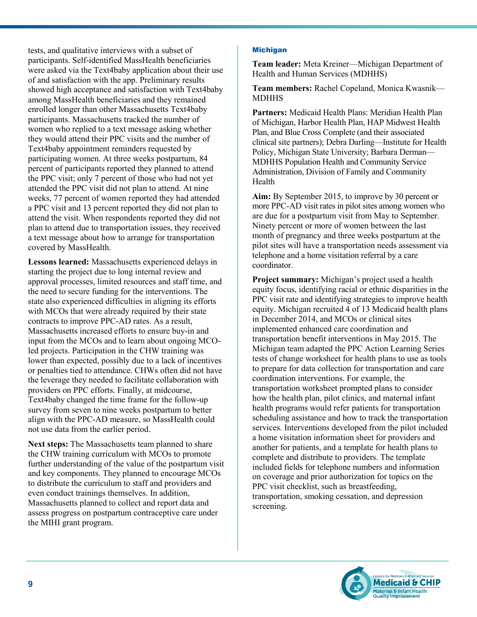tests, and qualitative interviews with a subset of participants. Self-identified MassHealth beneficiaries were asked via the Text4baby application about their use of and satisfaction with the app. Preliminary results showed high acceptance and satisfaction with Text4baby among MassHealth beneficiaries and they remained enrolled longer than other Massachusetts Text4baby participants. Massachusetts tracked the number of women who replied to a text message asking whether they would attend their PPC visits and the number of Text4baby appointment reminders requested by participating women. At three weeks postpartum, 84 percent of participants reported they planned to attend the PPC visit; only 7 percent of those who had not yet attended the PPC visit did not plan to attend. At nine weeks, 77 percent of women reported they had attended a PPC visit and 13 percent reported they did not plan to attend the visit. When respondents reported they did not plan to attend due to transportation issues, they received a text message about how to arrange for transportation covered by MassHealth.

**Lessons learned:** Massachusetts experienced delays in starting the project due to long internal review and approval processes, limited resources and staff time, and the need to secure funding for the interventions. The state also experienced difficulties in aligning its efforts with MCOs that were already required by their state contracts to improve PPC-AD rates. As a result, Massachusetts increased efforts to ensure buy-in and input from the MCOs and to learn about ongoing MCOled projects. Participation in the CHW training was lower than expected, possibly due to a lack of incentives or penalties tied to attendance. CHWs often did not have the leverage they needed to facilitate collaboration with providers on PPC efforts. Finally, at midcourse, Text4baby changed the time frame for the follow-up survey from seven to nine weeks postpartum to better align with the PPC-AD measure, so MassHealth could not use data from the earlier period.

**Next steps:** The Massachusetts team planned to share the CHW training curriculum with MCOs to promote further understanding of the value of the postpartum visit and key components. They planned to encourage MCOs to distribute the curriculum to staff and providers and even conduct trainings themselves. In addition, Massachusetts planned to collect and report data and assess progress on postpartum contraceptive care under the MIHI grant program.

## Michigan

**Team leader:** Meta Kreiner—Michigan Department of Health and Human Services (MDHHS)

**Team members:** Rachel Copeland, Monica Kwasnik— **MDHHS** 

**Partners:** Medicaid Health Plans: Meridian Health Plan of Michigan, Harbor Health Plan, HAP Midwest Health Plan, and Blue Cross Complete (and their associated clinical site partners); Debra Darling—Institute for Health Policy, Michigan State University; Barbara Derman— MDHHS Population Health and Community Service Administration, Division of Family and Community Health

**Aim:** By September 2015, to improve by 30 percent or more PPC-AD visit rates in pilot sites among women who are due for a postpartum visit from May to September. Ninety percent or more of women between the last month of pregnancy and three weeks postpartum at the pilot sites will have a transportation needs assessment via telephone and a home visitation referral by a care coordinator.

**Project summary:** Michigan's project used a health equity focus, identifying racial or ethnic disparities in the PPC visit rate and identifying strategies to improve health equity. Michigan recruited 4 of 13 Medicaid health plans in December 2014, and MCOs or clinical sites implemented enhanced care coordination and transportation benefit interventions in May 2015. The Michigan team adapted the PPC Action Learning Series tests of change worksheet for health plans to use as tools to prepare for data collection for transportation and care coordination interventions. For example, the transportation worksheet prompted plans to consider how the health plan, pilot clinics, and maternal infant health programs would refer patients for transportation scheduling assistance and how to track the transportation services. Interventions developed from the pilot included a home visitation information sheet for providers and another for patients, and a template for health plans to complete and distribute to providers. The template included fields for telephone numbers and information on coverage and prior authorization for topics on the PPC visit checklist, such as breastfeeding, transportation, smoking cessation, and depression screening.

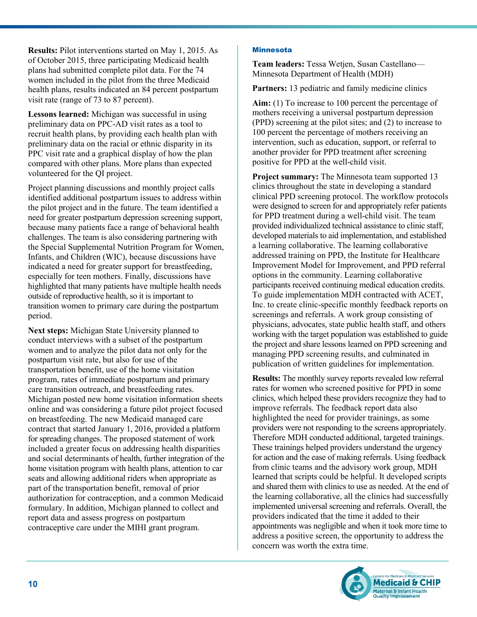**Results:** Pilot interventions started on May 1, 2015. As of October 2015, three participating Medicaid health plans had submitted complete pilot data. For the 74 women included in the pilot from the three Medicaid health plans, results indicated an 84 percent postpartum visit rate (range of 73 to 87 percent).

**Lessons learned:** Michigan was successful in using preliminary data on PPC-AD visit rates as a tool to recruit health plans, by providing each health plan with preliminary data on the racial or ethnic disparity in its PPC visit rate and a graphical display of how the plan compared with other plans. More plans than expected volunteered for the QI project.

Project planning discussions and monthly project calls identified additional postpartum issues to address within the pilot project and in the future. The team identified a need for greater postpartum depression screening support, because many patients face a range of behavioral health challenges. The team is also considering partnering with the Special Supplemental Nutrition Program for Women, Infants, and Children (WIC), because discussions have indicated a need for greater support for breastfeeding, especially for teen mothers. Finally, discussions have highlighted that many patients have multiple health needs outside of reproductive health, so it is important to transition women to primary care during the postpartum period.

**Next steps:** Michigan State University planned to conduct interviews with a subset of the postpartum women and to analyze the pilot data not only for the postpartum visit rate, but also for use of the transportation benefit, use of the home visitation program, rates of immediate postpartum and primary care transition outreach, and breastfeeding rates. Michigan posted new home visitation information sheets online and was considering a future pilot project focused on breastfeeding. The new Medicaid managed care contract that started January 1, 2016, provided a platform for spreading changes. The proposed statement of work included a greater focus on addressing health disparities and social determinants of health, further integration of the home visitation program with health plans, attention to car seats and allowing additional riders when appropriate as part of the transportation benefit, removal of prior authorization for contraception, and a common Medicaid formulary. In addition, Michigan planned to collect and report data and assess progress on postpartum contraceptive care under the MIHI grant program.

## Minnesota

**Team leaders:** Tessa Wetjen, Susan Castellano— Minnesota Department of Health (MDH)

**Partners:** 13 pediatric and family medicine clinics

Aim: (1) To increase to 100 percent the percentage of mothers receiving a universal postpartum depression (PPD) screening at the pilot sites; and (2) to increase to 100 percent the percentage of mothers receiving an intervention, such as education, support, or referral to another provider for PPD treatment after screening positive for PPD at the well-child visit.

**Project summary:** The Minnesota team supported 13 clinics throughout the state in developing a standard clinical PPD screening protocol. The workflow protocols were designed to screen for and appropriately refer patients for PPD treatment during a well-child visit. The team provided individualized technical assistance to clinic staff, developed materials to aid implementation, and established a learning collaborative. The learning collaborative addressed training on PPD, the Institute for Healthcare Improvement Model for Improvement, and PPD referral options in the community. Learning collaborative participants received continuing medical education credits. To guide implementation MDH contracted with ACET, Inc. to create clinic-specific monthly feedback reports on screenings and referrals. A work group consisting of physicians, advocates, state public health staff, and others working with the target population was established to guide the project and share lessons learned on PPD screening and managing PPD screening results, and culminated in publication of written guidelines for implementation.

**Results:** The monthly survey reports revealed low referral rates for women who screened positive for PPD in some clinics, which helped these providers recognize they had to improve referrals. The feedback report data also highlighted the need for provider trainings, as some providers were not responding to the screens appropriately. Therefore MDH conducted additional, targeted trainings. These trainings helped providers understand the urgency for action and the ease of making referrals. Using feedback from clinic teams and the advisory work group, MDH learned that scripts could be helpful. It developed scripts and shared them with clinics to use as needed. At the end of the learning collaborative, all the clinics had successfully implemented universal screening and referrals. Overall, the providers indicated that the time it added to their appointments was negligible and when it took more time to address a positive screen, the opportunity to address the concern was worth the extra time.

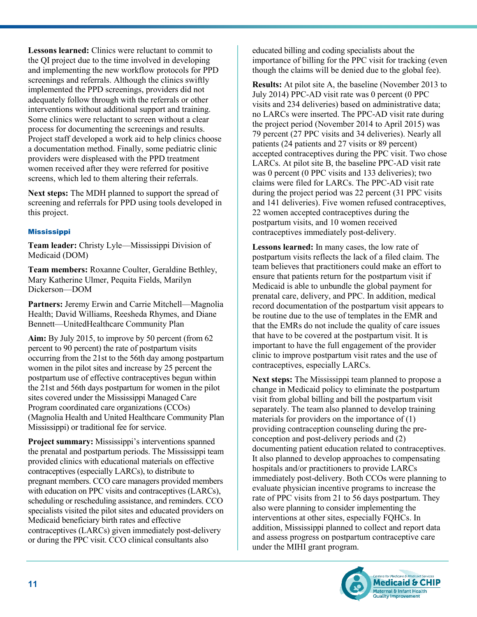**Lessons learned:** Clinics were reluctant to commit to the QI project due to the time involved in developing and implementing the new workflow protocols for PPD screenings and referrals. Although the clinics swiftly implemented the PPD screenings, providers did not adequately follow through with the referrals or other interventions without additional support and training. Some clinics were reluctant to screen without a clear process for documenting the screenings and results. Project staff developed a work aid to help clinics choose a documentation method. Finally, some pediatric clinic providers were displeased with the PPD treatment women received after they were referred for positive screens, which led to them altering their referrals.

**Next steps:** The MDH planned to support the spread of screening and referrals for PPD using tools developed in this project.

## Mississippi

**Team leader:** Christy Lyle—Mississippi Division of Medicaid (DOM)

**Team members:** Roxanne Coulter, Geraldine Bethley, Mary Katherine Ulmer, Pequita Fields, Marilyn Dickerson—DOM

**Partners:** Jeremy Erwin and Carrie Mitchell—Magnolia Health; David Williams, Reesheda Rhymes, and Diane Bennett—UnitedHealthcare Community Plan

**Aim:** By July 2015, to improve by 50 percent (from 62 percent to 90 percent) the rate of postpartum visits occurring from the 21st to the 56th day among postpartum women in the pilot sites and increase by 25 percent the postpartum use of effective contraceptives begun within the 21st and 56th days postpartum for women in the pilot sites covered under the Mississippi Managed Care Program coordinated care organizations (CCOs) (Magnolia Health and United Healthcare Community Plan Mississippi) or traditional fee for service.

**Project summary:** Mississippi's interventions spanned the prenatal and postpartum periods. The Mississippi team provided clinics with educational materials on effective contraceptives (especially LARCs), to distribute to pregnant members. CCO care managers provided members with education on PPC visits and contraceptives (LARCs), scheduling or rescheduling assistance, and reminders. CCO specialists visited the pilot sites and educated providers on Medicaid beneficiary birth rates and effective contraceptives (LARCs) given immediately post-delivery or during the PPC visit. CCO clinical consultants also

educated billing and coding specialists about the importance of billing for the PPC visit for tracking (even though the claims will be denied due to the global fee).

**Results:** At pilot site A, the baseline (November 2013 to July 2014) PPC-AD visit rate was 0 percent (0 PPC visits and 234 deliveries) based on administrative data; no LARCs were inserted. The PPC-AD visit rate during the project period (November 2014 to April 2015) was 79 percent (27 PPC visits and 34 deliveries). Nearly all patients (24 patients and 27 visits or 89 percent) accepted contraceptives during the PPC visit. Two chose LARCs. At pilot site B, the baseline PPC-AD visit rate was 0 percent (0 PPC visits and 133 deliveries); two claims were filed for LARCs. The PPC-AD visit rate during the project period was 22 percent (31 PPC visits and 141 deliveries). Five women refused contraceptives, 22 women accepted contraceptives during the postpartum visits, and 10 women received contraceptives immediately post-delivery.

**Lessons learned:** In many cases, the low rate of postpartum visits reflects the lack of a filed claim. The team believes that practitioners could make an effort to ensure that patients return for the postpartum visit if Medicaid is able to unbundle the global payment for prenatal care, delivery, and PPC. In addition, medical record documentation of the postpartum visit appears to be routine due to the use of templates in the EMR and that the EMRs do not include the quality of care issues that have to be covered at the postpartum visit. It is important to have the full engagement of the provider clinic to improve postpartum visit rates and the use of contraceptives, especially LARCs.

**Next steps:** The Mississippi team planned to propose a change in Medicaid policy to eliminate the postpartum visit from global billing and bill the postpartum visit separately. The team also planned to develop training materials for providers on the importance of (1) providing contraception counseling during the preconception and post-delivery periods and (2) documenting patient education related to contraceptives. It also planned to develop approaches to compensating hospitals and/or practitioners to provide LARCs immediately post-delivery. Both CCOs were planning to evaluate physician incentive programs to increase the rate of PPC visits from 21 to 56 days postpartum. They also were planning to consider implementing the interventions at other sites, especially FQHCs. In addition, Mississippi planned to collect and report data and assess progress on postpartum contraceptive care under the MIHI grant program.

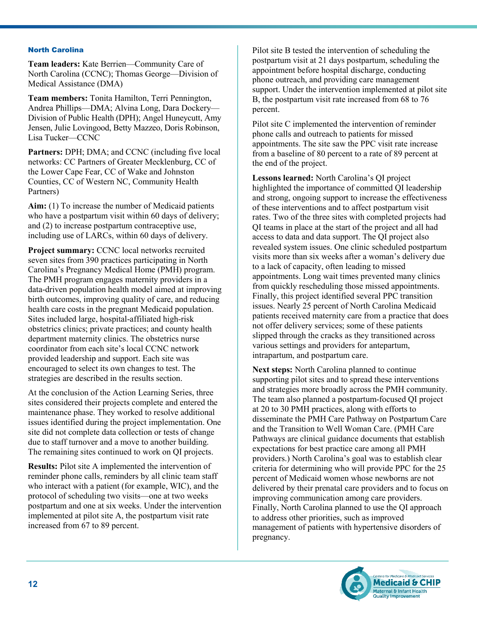#### North Carolina

**Team leaders:** Kate Berrien—Community Care of North Carolina (CCNC); Thomas George—Division of Medical Assistance (DMA)

**Team members:** Tonita Hamilton, Terri Pennington, Andrea Phillips—DMA; Alvina Long, Dara Dockery— Division of Public Health (DPH); Angel Huneycutt, Amy Jensen, Julie Lovingood, Betty Mazzeo, Doris Robinson, Lisa Tucker—CCNC

Partners: DPH; DMA; and CCNC (including five local networks: CC Partners of Greater Mecklenburg, CC of the Lower Cape Fear, CC of Wake and Johnston Counties, CC of Western NC, Community Health Partners)

**Aim:** (1) To increase the number of Medicaid patients who have a postpartum visit within 60 days of delivery; and (2) to increase postpartum contraceptive use, including use of LARCs, within 60 days of delivery.

**Project summary:** CCNC local networks recruited seven sites from 390 practices participating in North Carolina's Pregnancy Medical Home (PMH) program. The PMH program engages maternity providers in a data-driven population health model aimed at improving birth outcomes, improving quality of care, and reducing health care costs in the pregnant Medicaid population. Sites included large, hospital-affiliated high-risk obstetrics clinics; private practices; and county health department maternity clinics. The obstetrics nurse coordinator from each site's local CCNC network provided leadership and support. Each site was encouraged to select its own changes to test. The strategies are described in the results section.

At the conclusion of the Action Learning Series, three sites considered their projects complete and entered the maintenance phase. They worked to resolve additional issues identified during the project implementation. One site did not complete data collection or tests of change due to staff turnover and a move to another building. The remaining sites continued to work on QI projects.

**Results:** Pilot site A implemented the intervention of reminder phone calls, reminders by all clinic team staff who interact with a patient (for example, WIC), and the protocol of scheduling two visits—one at two weeks postpartum and one at six weeks. Under the intervention implemented at pilot site A, the postpartum visit rate increased from 67 to 89 percent.

Pilot site B tested the intervention of scheduling the postpartum visit at 21 days postpartum, scheduling the appointment before hospital discharge, conducting phone outreach, and providing care management support. Under the intervention implemented at pilot site B, the postpartum visit rate increased from 68 to 76 percent.

Pilot site C implemented the intervention of reminder phone calls and outreach to patients for missed appointments. The site saw the PPC visit rate increase from a baseline of 80 percent to a rate of 89 percent at the end of the project.

**Lessons learned:** North Carolina's QI project highlighted the importance of committed QI leadership and strong, ongoing support to increase the effectiveness of these interventions and to affect postpartum visit rates. Two of the three sites with completed projects had QI teams in place at the start of the project and all had access to data and data support. The QI project also revealed system issues. One clinic scheduled postpartum visits more than six weeks after a woman's delivery due to a lack of capacity, often leading to missed appointments. Long wait times prevented many clinics from quickly rescheduling those missed appointments. Finally, this project identified several PPC transition issues. Nearly 25 percent of North Carolina Medicaid patients received maternity care from a practice that does not offer delivery services; some of these patients slipped through the cracks as they transitioned across various settings and providers for antepartum, intrapartum, and postpartum care.

**Next steps:** North Carolina planned to continue supporting pilot sites and to spread these interventions and strategies more broadly across the PMH community. The team also planned a postpartum-focused QI project at 20 to 30 PMH practices, along with efforts to disseminate the PMH Care Pathway on Postpartum Care and the Transition to Well Woman Care. (PMH Care Pathways are clinical guidance documents that establish expectations for best practice care among all PMH providers.) North Carolina's goal was to establish clear criteria for determining who will provide PPC for the 25 percent of Medicaid women whose newborns are not delivered by their prenatal care providers and to focus on improving communication among care providers. Finally, North Carolina planned to use the QI approach to address other priorities, such as improved management of patients with hypertensive disorders of pregnancy.

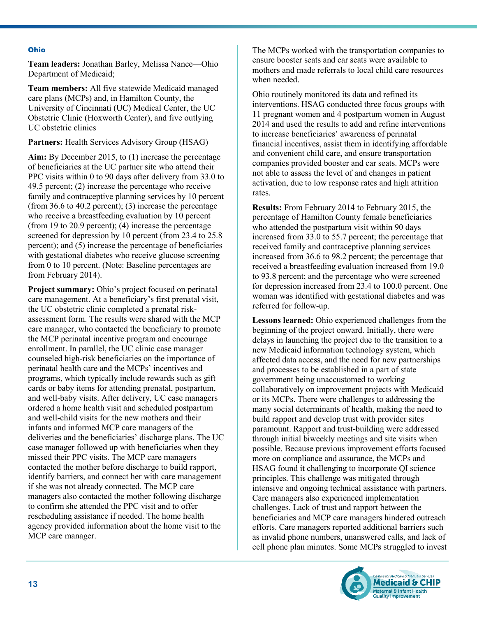#### Ohio

**Team leaders:** Jonathan Barley, Melissa Nance—Ohio Department of Medicaid;

**Team members:** All five statewide Medicaid managed care plans (MCPs) and, in Hamilton County, the University of Cincinnati (UC) Medical Center, the UC Obstetric Clinic (Hoxworth Center), and five outlying UC obstetric clinics

Partners: Health Services Advisory Group (HSAG)

**Aim:** By December 2015, to (1) increase the percentage of beneficiaries at the UC partner site who attend their PPC visits within 0 to 90 days after delivery from 33.0 to 49.5 percent; (2) increase the percentage who receive family and contraceptive planning services by 10 percent (from 36.6 to 40.2 percent); (3) increase the percentage who receive a breastfeeding evaluation by 10 percent (from 19 to 20.9 percent); (4) increase the percentage screened for depression by 10 percent (from 23.4 to 25.8) percent); and (5) increase the percentage of beneficiaries with gestational diabetes who receive glucose screening from 0 to 10 percent. (Note: Baseline percentages are from February 2014).

**Project summary:** Ohio's project focused on perinatal care management. At a beneficiary's first prenatal visit, the UC obstetric clinic completed a prenatal riskassessment form. The results were shared with the MCP care manager, who contacted the beneficiary to promote the MCP perinatal incentive program and encourage enrollment. In parallel, the UC clinic case manager counseled high-risk beneficiaries on the importance of perinatal health care and the MCPs' incentives and programs, which typically include rewards such as gift cards or baby items for attending prenatal, postpartum, and well-baby visits. After delivery, UC case managers ordered a home health visit and scheduled postpartum and well-child visits for the new mothers and their infants and informed MCP care managers of the deliveries and the beneficiaries' discharge plans. The UC case manager followed up with beneficiaries when they missed their PPC visits. The MCP care managers contacted the mother before discharge to build rapport, identify barriers, and connect her with care management if she was not already connected. The MCP care managers also contacted the mother following discharge to confirm she attended the PPC visit and to offer rescheduling assistance if needed. The home health agency provided information about the home visit to the MCP care manager.

The MCPs worked with the transportation companies to ensure booster seats and car seats were available to mothers and made referrals to local child care resources when needed.

Ohio routinely monitored its data and refined its interventions. HSAG conducted three focus groups with 11 pregnant women and 4 postpartum women in August 2014 and used the results to add and refine interventions to increase beneficiaries' awareness of perinatal financial incentives, assist them in identifying affordable and convenient child care, and ensure transportation companies provided booster and car seats. MCPs were not able to assess the level of and changes in patient activation, due to low response rates and high attrition rates.

**Results:** From February 2014 to February 2015, the percentage of Hamilton County female beneficiaries who attended the postpartum visit within 90 days increased from 33.0 to 55.7 percent; the percentage that received family and contraceptive planning services increased from 36.6 to 98.2 percent; the percentage that received a breastfeeding evaluation increased from 19.0 to 93.8 percent; and the percentage who were screened for depression increased from 23.4 to 100.0 percent. One woman was identified with gestational diabetes and was referred for follow-up.

**Lessons learned:** Ohio experienced challenges from the beginning of the project onward. Initially, there were delays in launching the project due to the transition to a new Medicaid information technology system, which affected data access, and the need for new partnerships and processes to be established in a part of state government being unaccustomed to working collaboratively on improvement projects with Medicaid or its MCPs. There were challenges to addressing the many social determinants of health, making the need to build rapport and develop trust with provider sites paramount. Rapport and trust-building were addressed through initial biweekly meetings and site visits when possible. Because previous improvement efforts focused more on compliance and assurance, the MCPs and HSAG found it challenging to incorporate QI science principles. This challenge was mitigated through intensive and ongoing technical assistance with partners. Care managers also experienced implementation challenges. Lack of trust and rapport between the beneficiaries and MCP care managers hindered outreach efforts. Care managers reported additional barriers such as invalid phone numbers, unanswered calls, and lack of cell phone plan minutes. Some MCPs struggled to invest

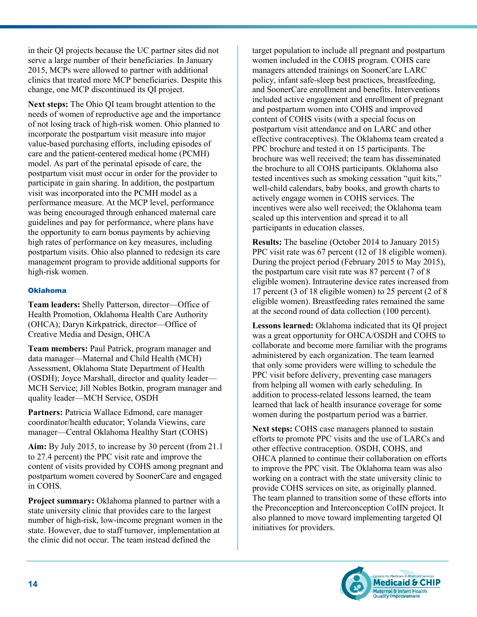in their QI projects because the UC partner sites did not serve a large number of their beneficiaries. In January 2015, MCPs were allowed to partner with additional clinics that treated more MCP beneficiaries. Despite this change, one MCP discontinued its QI project.

**Next steps:** The Ohio QI team brought attention to the needs of women of reproductive age and the importance of not losing track of high-risk women. Ohio planned to incorporate the postpartum visit measure into major value-based purchasing efforts, including episodes of care and the patient-centered medical home (PCMH) model. As part of the perinatal episode of care, the postpartum visit must occur in order for the provider to participate in gain sharing. In addition, the postpartum visit was incorporated into the PCMH model as a performance measure. At the MCP level, performance was being encouraged through enhanced maternal care guidelines and pay for performance, where plans have the opportunity to earn bonus payments by achieving high rates of performance on key measures, including postpartum visits. Ohio also planned to redesign its care management program to provide additional supports for high-risk women.

## Oklahoma

**Team leaders:** Shelly Patterson, director—Office of Health Promotion, Oklahoma Health Care Authority (OHCA); Daryn Kirkpatrick, director—Office of Creative Media and Design, OHCA

**Team members:** Paul Patrick, program manager and data manager—Maternal and Child Health (MCH) Assessment, Oklahoma State Department of Health (OSDH); Joyce Marshall, director and quality leader— MCH Service; Jill Nobles Botkin, program manager and quality leader—MCH Service, OSDH

Partners: Patricia Wallace Edmond, care manager coordinator/health educator; Yolanda Viewins, care manager—Central Oklahoma Healthy Start (COHS)

**Aim:** By July 2015, to increase by 30 percent (from 21.1 to 27.4 percent) the PPC visit rate and improve the content of visits provided by COHS among pregnant and postpartum women covered by SoonerCare and engaged in COHS.

**Project summary:** Oklahoma planned to partner with a state university clinic that provides care to the largest number of high-risk, low-income pregnant women in the state. However, due to staff turnover, implementation at the clinic did not occur. The team instead defined the

target population to include all pregnant and postpartum women included in the COHS program. COHS care managers attended trainings on SoonerCare LARC policy, infant safe-sleep best practices, breastfeeding, and SoonerCare enrollment and benefits. Interventions included active engagement and enrollment of pregnant and postpartum women into COHS and improved content of COHS visits (with a special focus on postpartum visit attendance and on LARC and other effective contraceptives). The Oklahoma team created a PPC brochure and tested it on 15 participants. The brochure was well received; the team has disseminated the brochure to all COHS participants. Oklahoma also tested incentives such as smoking cessation "quit kits," well-child calendars, baby books, and growth charts to actively engage women in COHS services. The incentives were also well received; the Oklahoma team scaled up this intervention and spread it to all participants in education classes.

**Results:** The baseline (October 2014 to January 2015) PPC visit rate was 67 percent (12 of 18 eligible women). During the project period (February 2015 to May 2015), the postpartum care visit rate was 87 percent (7 of 8 eligible women). Intrauterine device rates increased from 17 percent (3 of 18 eligible women) to 25 percent (2 of 8 eligible women). Breastfeeding rates remained the same at the second round of data collection (100 percent).

**Lessons learned:** Oklahoma indicated that its QI project was a great opportunity for OHCA/OSDH and COHS to collaborate and become more familiar with the programs administered by each organization. The team learned that only some providers were willing to schedule the PPC visit before delivery, preventing case managers from helping all women with early scheduling. In addition to process-related lessons learned, the team learned that lack of health insurance coverage for some women during the postpartum period was a barrier.

**Next steps:** COHS case managers planned to sustain efforts to promote PPC visits and the use of LARCs and other effective contraception. OSDH, COHS, and OHCA planned to continue their collaboration on efforts to improve the PPC visit. The Oklahoma team was also working on a contract with the state university clinic to provide COHS services on site, as originally planned. The team planned to transition some of these efforts into the Preconception and Interconception CoIIN project. It also planned to move toward implementing targeted QI initiatives for providers.